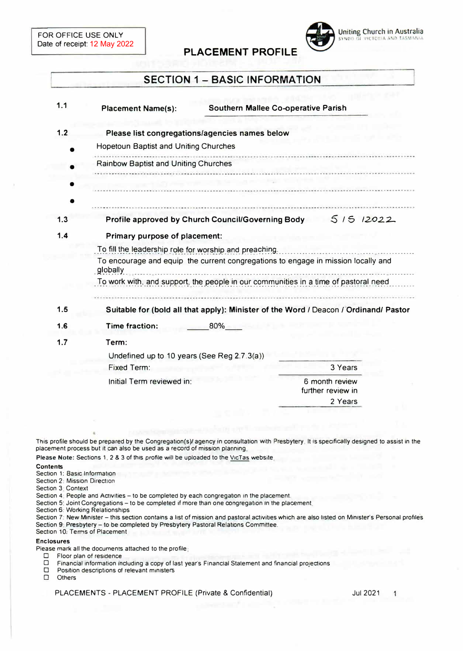

# **SECTION 1 - BASIC INFORMATION**

**PLACEMENT PROFILE** 

| 1.1 | <b>Placement Name(s):</b>                                                                     | <b>Southern Mallee Co-operative Parish</b>                                           |  |
|-----|-----------------------------------------------------------------------------------------------|--------------------------------------------------------------------------------------|--|
| 1.2 | Please list congregations/agencies names below                                                |                                                                                      |  |
|     | <b>Hopetoun Baptist and Uniting Churches</b>                                                  |                                                                                      |  |
|     | <b>Rainbow Baptist and Uniting Churches</b>                                                   |                                                                                      |  |
|     |                                                                                               |                                                                                      |  |
| 1.3 | 51512022<br>Profile approved by Church Council/Governing Body                                 |                                                                                      |  |
| 1.4 | Primary purpose of placement:                                                                 |                                                                                      |  |
|     | To fill the leadership role for worship and preaching.                                        |                                                                                      |  |
|     | To encourage and equip the current congregations to engage in mission locally and<br>globally |                                                                                      |  |
|     | To work with, and support, the people in our communities in a time of pastoral need           |                                                                                      |  |
| 1.5 |                                                                                               | Suitable for (bold all that apply): Minister of the Word / Deacon / Ordinand/ Pastor |  |
| 1.6 | <b>Time fraction:</b><br>80%                                                                  |                                                                                      |  |
| 1.7 | Term:                                                                                         |                                                                                      |  |
|     | Undefined up to 10 years (See Reg 2.7.3(a))                                                   |                                                                                      |  |
|     | Fixed Term:                                                                                   | 3 Years                                                                              |  |
|     | Initial Term reviewed in:                                                                     | 6 month review<br>further review in                                                  |  |
|     |                                                                                               | 2 Years                                                                              |  |

This profile should be prepared by the Congregation(s)/ agency in consultation with Presbytery. It is specifically designed to assist in the **placement process but It can also be used as a record of mission planning** 

Please Note: Sections 1, 2 & 3 of this profile will be uploaded to the VicTas website

### **Contents**

- **Section 1: Basic Information**
- **Section 2: Mission Direction**
- **Section 3 Context**

Section 4. People and Activities - to be completed by each congregation in the placement.

Section 5: Joint Congregations - to be completed if more than one congregation in the placement

**Section 6. Working Relationships** 

Section 7. New Minister - this section contains a list of mission and pastoral activities which are also listed on Minister's Personal profiles Section 9 Presbytery - to be completed by Presbytery Pastoral Relations Committee. **Section 10. Terms of Placement** 

**Enclosures** 

Please mark all the documents attached to the profile:

- **D Floor plan of residence**
- **D** Financial information including a copy of last year's Financial Statement and financial projections **D** Position descriptions of relevant ministers
- □ **Position descriptions of relevant ministers**<br>□ **Others**
- □ **Others**

PLACEMENTS - PLACEMENT PROFILE (Private & Confidential) Jul 2021

1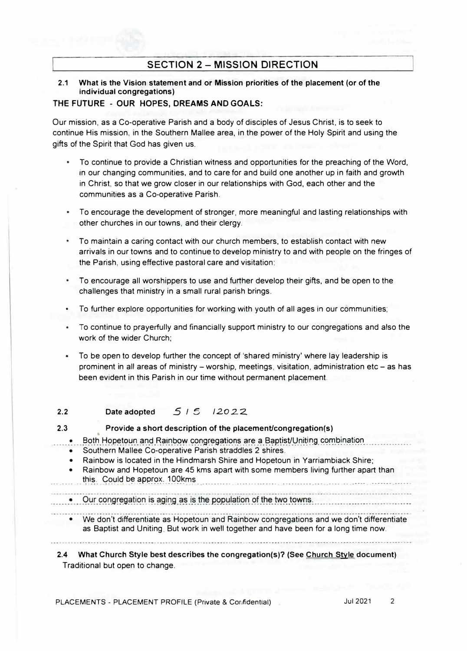## **SECTION 2 - MISSION DIRECTION**

## **2.1 What is the Vision statement and or Mission priorities of the placement (or of the individual congregations)**

## **THE FUTURE - OUR HOPES, DREAMS AND GOALS:**

Our mission, as a Co-operative Parish and a body of disciples of Jesus Christ, is to seek to continue His mission, in the Southern Mallee area, in the power of the Holy Spirit and using the gifts of the Spirit that God has given us.

- To continue to provide a Christian witness and opportunities for the preaching of the Word, in our changing communities, and to care for and build one another up in faith and growth in Christ, so that we grow closer in our relationships with God, each other and the communities as a Co-operative Parish.
- To encourage the development of stronger, more meaningful and lasting relationships with other churches in our towns, and their clergy.
- To maintain a caring contact with our church members, to establish contact with new arrivals in our towns and to continue to develop ministry to and with people on the fringes of the Parish, using effective pastoral care and visitation:
- To encourage all worshippers to use and further develop their gifts, and be open to the challenges that ministry in a small rural parish brings.
- To further explore opportunities for working with youth of all ages in our communities;
- To continue to prayerfully and financially support ministry to our congregations and also the work of the wider Church;
- To be open to develop further the concept of 'shared ministry' where lay leadership is prominent in all areas of ministry - worship, meetings, visitation, administration etc - as has been evident in this Parish in our time without permanent placement.

#### **2.2**  Date adopted **515 12022**

### **2.3 Provide a short description of the placement/congregation(s)**

- ..... -� ... -��t�. ��P.�tc?�r:i. �r:,\_q. R�j���� .<?�r:igr�\_g�t\_i�r:i� -�r� -�-��.P.!i .�1/.V.�\�i�g\_ �-C?�.l?lr:i��i�r' ................ .
	- Southern Mallee Co-operative Parish straddles 2 shires.
	- Rainbow is located in the Hindmarsh Shire and Hopetoun in Yarriambiack Shire;
- Rainbow and Hopetoun are 45 kms apart with some members living further apart than ... ...... th i � .. *G��lq* b�-�P.l?f�l\_<:\_�\_q9\_�m� . .......... ........................ ... .... .. ..... ....... ..... .
	- Our congregation is aging as is the population of the two towns.
		- We don't differentiate as Hopetoun and Rainbow congregations and we don't differentiate as Baptist and Uniting. But work in well together and have been for a long time now.

**2.4 What Church Style best describes the congregation(s)? (See Church Style document)**  Traditional but open to change.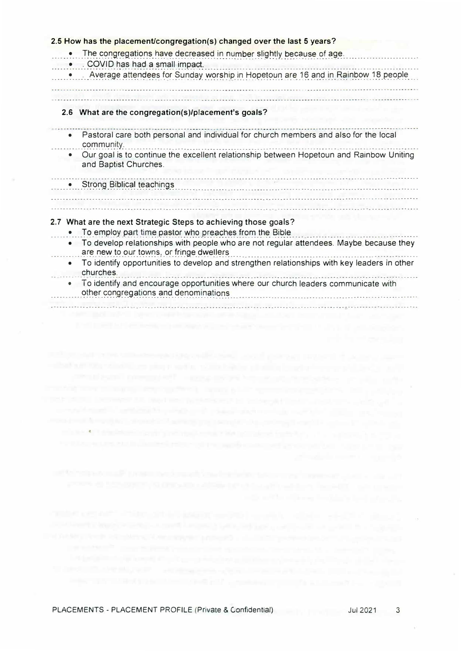| 2.5 How has the placement/congregation(s) changed over the last 5 years?                                                                        |  |  |  |
|-------------------------------------------------------------------------------------------------------------------------------------------------|--|--|--|
| The congregations have decreased in number slightly because of age.<br>. COVID has had a small impact.                                          |  |  |  |
| . Average attendees for Sunday worship in Hopetoun are 16 and in Rainbow 18 people                                                              |  |  |  |
| 2.6 What are the congregation(s)/placement's goals?                                                                                             |  |  |  |
| Pastoral care both personal and individual for church members and also for the local<br>$\bullet$<br>community.                                 |  |  |  |
| Our goal is to continue the excellent relationship between Hopetoun and Rainbow Uniting<br>and Baptist Churches.                                |  |  |  |
| <b>Strong Biblical teachings</b>                                                                                                                |  |  |  |
| 2.7 What are the next Strategic Steps to achieving those goals?                                                                                 |  |  |  |
| To employ part time pastor who preaches from the Bible                                                                                          |  |  |  |
| To develop relationships with people who are not regular attendees. Maybe because they<br>$\bullet$<br>are new to our towns, or fringe dwellers |  |  |  |
| To identify opportunities to develop and strengthen relationships with key leaders in other<br>$\bullet$<br>churches.                           |  |  |  |
| To identify and encourage opportunities where our church leaders communicate with<br>۰<br>other congregations and denominations                 |  |  |  |

mission in a basic company in the policy of a state of the first company of a control of the company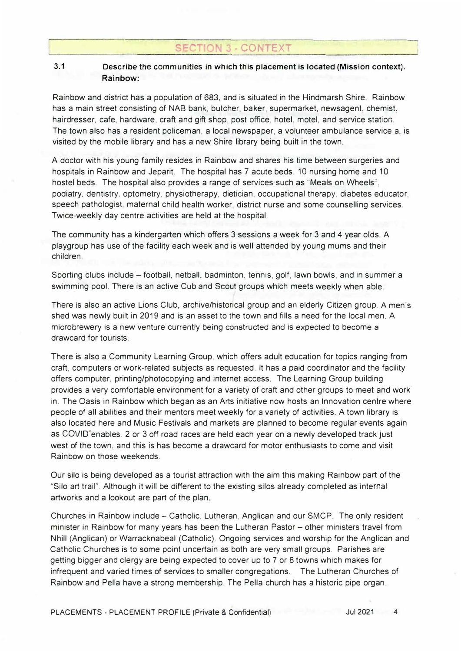# **- CONTEXT**

## **3.1 Describe** the communities in **which this placement is located (Mission context). Rainbow:**

Rainbow and district has a population of 683. and is situated in the Hindmarsh Shire. Rainbow has a main street consisting of NAB bank, butcher, baker, supermarket, newsagent, chemist. hairdresser, cafe, hardware, craft and gift shop. post office, hotel. motel, and service station. The town also has a resident policeman, a local newspaper, a volunteer ambulance service a. is visited by the mobile library and has a new Shire library being built in the town.

A doctor with his young family resides in Rainbow and shares his time between surgeries and hospitals in Rainbow and Jeparit. The hospital has 7 acute beds, 10 nursing home and 10 hostel beds. The hospital also provides a range of services such as "Meals on Wheels", podiatry, dentistry, optometry, physiotherapy, dietician, occupational therapy, diabetes educator. speech pathologist. maternal child health worker. district nurse and some counselling services. Twice-weekly day centre activities are held at the hospital.

The community has a kindergarten which offers 3 sessions a week for 3 and 4 year olds. A playgroup has use of the facility each week and is well attended by young mums and their children.

Sporting clubs include - football, netball, badminton. tennis, golf. lawn bowls, and in summer a swimming pool. There is an active Cub and Scout groups which meets weekly when able.

There is also an active Lions Club, archive/historical group and an elderly Citizen group. A men's shed was newly built in 2019 and is an asset to the town and fills a need for the local men. A microbrewery is a new venture currently being constructed and is expected to become a drawcard for tourists.

There is also a Community Learning Group. which offers adult education for topics ranging from craft, computers or work-related subjects as requested. It has a paid coordinator and the facility offers computer. printing/photocopying and internet access. The Learning Group building provides a very comfortable environment for a variety of craft and other groups to meet and work in. The Oasis in Rainbow which began as an Arts initiative now hosts an Innovation centre where people of all abilities and their mentors meet weekly for a variety of activities. A town library is also located here and Music Festivals and markets are planned to become regular events again as COVID<sup>®</sup> enables. 2 or 3 off road races are held each year on a newly developed track just west of the town. and this is has become a drawcard for motor enthusiasts to come and visit Rainbow on those weekends.

Our silo is being developed as a tourist attraction with the aim this making Rainbow part of the "Silo art trail''. Although it will be different to the existing silos already completed as internal artworks and a lookout are part of the plan.

Churches in Rainbow include - Catholic. Lutheran. Anglican and our SMCP. The only resident minister in Rainbow for many years has been the Lutheran Pastor - other ministers travel from Nhill (Anglican) or Warracknabeal (Catholic). Ongoing services and worship for the Anglican and Catholic Churches is to some point uncertain as both are very small groups. Parishes are getting bigger and clergy are being expected to cover up to 7 or 8 towns which makes for infrequent and varied times of services to smaller congregations. The Lutheran Churches of Rainbow and Pella have a strong membership. The Pella church has a historic pipe organ.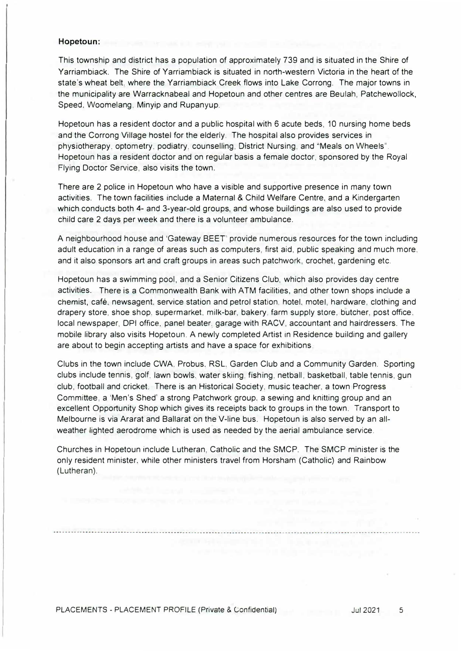### **Hopetoun:**

This township and district has a population of approximately 739 and is situated in the Shire of Yarriambiack. The Shire of Yarriambiack is situated in north-western Victoria in the heart of the state's wheat belt. where the Yarriambiack Creek flows into Lake Corrong. The major towns in the municipality are Warracknabeal and Hopetoun and other centres are Beulah, Patchewollock, Speed. Woomelang. Minyip and Rupanyup.

Hopetoun has a resident doctor and a public hospital with 6 acute beds, 10 nursing home beds and the Corrong Village hostel for the elderly. The hospital also provides services in physiotherapy, optometry. podiatry. counselling, District Nursing. and ''Meals on Wheels". Hopetoun has a resident doctor and on regular basis a female doctor, sponsored by the Royal Flying Doctor Service, also visits the town.

There are 2 police in Hopetoun who have a visible and supportive presence in many town activities. The town facilities include a Maternal & Child Welfare Centre. and a Kindergarten which conducts both 4- and 3-year-old groups, and whose buildings are also used to provide child care 2 days per week and there is a volunteer ambulance.

A neighbourhood house and 'Gateway BEET provide numerous resources for the town including adult education in a range of areas such as computers, first aid, public speaking and much more. and it also sponsors art and craft groups in areas such patchwork. crochet, gardening etc.

Hopetoun has a swimming pool, and a Senior Citizens Club, which also provides day centre activities. There is a Commonwealth Bank with ATM facilities, and other town shops include a chemist, cafe. newsagent. service station and petrol station. hotel. motel, hardware, clothing and drapery store, shoe shop, supermarket, milk-bar, bakery, farm supply store, butcher, post office. local newspaper, DPI office. panel beater. garage with RACV, accountant and hairdressers. The mobile library also visits Hopetoun. A newly completed Artist in Residence building and gallery are about to begin accepting artists and have a space for exhibitions

Clubs in the town include CWA, Probus. RSL. Garden Club and a Community Garden. Sporting clubs include tennis, golf. lawn bowls. water skiing, fishing, netball, basketball, table tennis, gun club, football and cricket. There is an Historical Society, music teacher, a town Progress Committee, a ·Men's Shed' a strong Patchwork group. a sewing and knitting group and an excellent Opportunity Shop which gives its receipts back to groups in the town. Transport to Melbourne is via Ararat and Ballarat on the V-line bus. Hopetoun is also served by an allweather lighted aerodrome which is used as needed by the aerial ambulance service.

Churches in Hopetoun include Lutheran, Catholic and the SMCP. The SMCP minister is the only resident minister. while other ministers travel from Horsham (Catholic) and Rainbow (Lutheran).